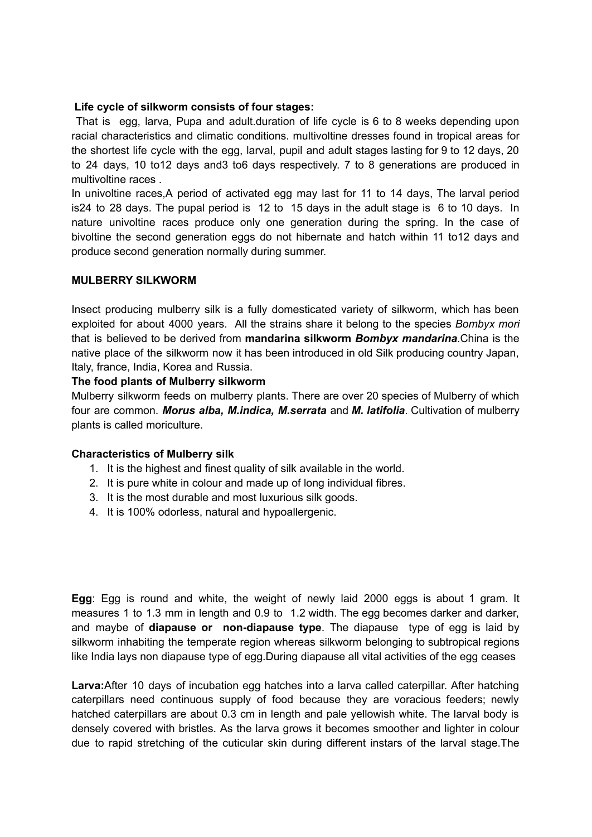# **Life cycle of silkworm consists of four stages:**

That is egg, larva, Pupa and adult.duration of life cycle is 6 to 8 weeks depending upon racial characteristics and climatic conditions. multivoltine dresses found in tropical areas for the shortest life cycle with the egg, larval, pupil and adult stages lasting for 9 to 12 days, 20 to 24 days, 10 to12 days and3 to6 days respectively. 7 to 8 generations are produced in multivoltine races .

In univoltine races,A period of activated egg may last for 11 to 14 days, The larval period is24 to 28 days. The pupal period is 12 to 15 days in the adult stage is 6 to 10 days. In nature univoltine races produce only one generation during the spring. In the case of bivoltine the second generation eggs do not hibernate and hatch within 11 to12 days and produce second generation normally during summer.

# **MULBERRY SILKWORM**

Insect producing mulberry silk is a fully domesticated variety of silkworm, which has been exploited for about 4000 years. All the strains share it belong to the species *Bombyx mori* that is believed to be derived from **mandarina silkworm** *Bombyx mandarina*.China is the native place of the silkworm now it has been introduced in old Silk producing country Japan, Italy, france, India, Korea and Russia.

# **The food plants of Mulberry silkworm**

Mulberry silkworm feeds on mulberry plants. There are over 20 species of Mulberry of which four are common. *Morus alba, M.indica, M.serrata* and *M. latifolia*. Cultivation of mulberry plants is called moriculture.

# **Characteristics of Mulberry silk**

- 1. It is the highest and finest quality of silk available in the world.
- 2. It is pure white in colour and made up of long individual fibres.
- 3. It is the most durable and most luxurious silk goods.
- 4. It is 100% odorless, natural and hypoallergenic.

**Egg**: Egg is round and white, the weight of newly laid 2000 eggs is about 1 gram. It measures 1 to 1.3 mm in length and 0.9 to 1.2 width. The egg becomes darker and darker, and maybe of **diapause or non-diapause type**. The diapause type of egg is laid by silkworm inhabiting the temperate region whereas silkworm belonging to subtropical regions like India lays non diapause type of egg.During diapause all vital activities of the egg ceases

**Larva:**After 10 days of incubation egg hatches into a larva called caterpillar. After hatching caterpillars need continuous supply of food because they are voracious feeders; newly hatched caterpillars are about 0.3 cm in length and pale yellowish white. The larval body is densely covered with bristles. As the larva grows it becomes smoother and lighter in colour due to rapid stretching of the cuticular skin during different instars of the larval stage.The